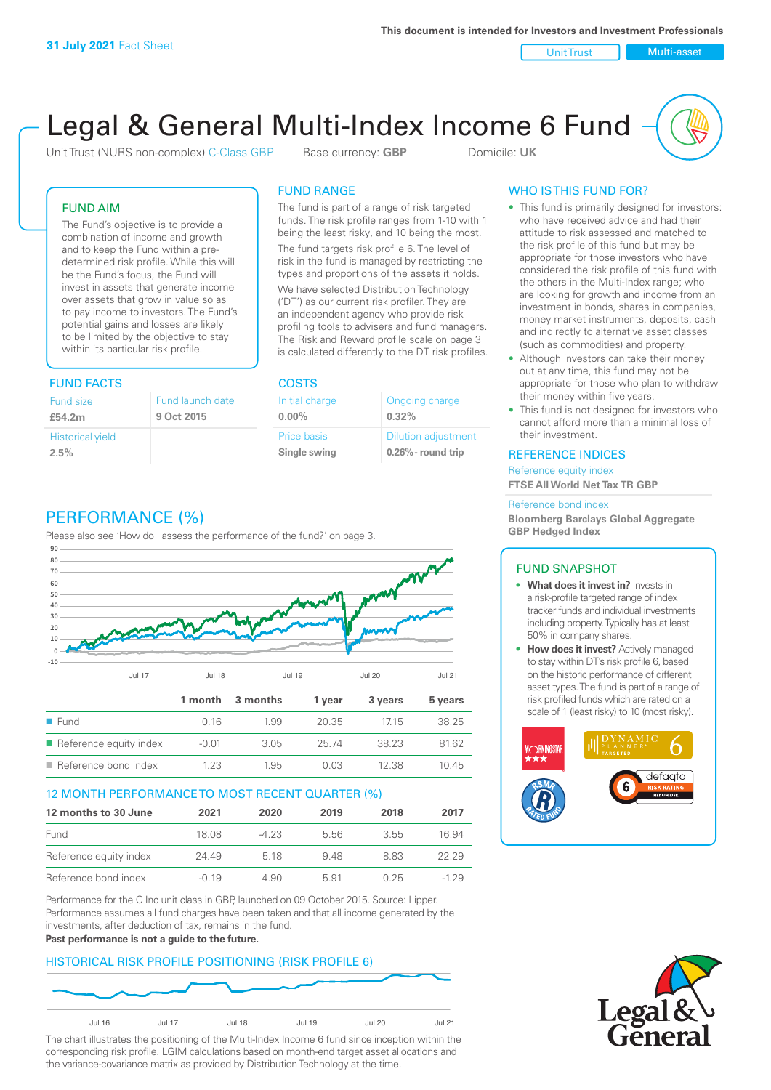Unit Trust Nulti-asset

# Legal & General Multi-Index Income 6 Fund

Unit Trust (NURS non-complex) C-Class GBP Base currency: **GBP** Domicile: UK

### FUND AIM

The Fund's objective is to provide a combination of income and growth and to keep the Fund within a predetermined risk profile. While this will be the Fund's focus, the Fund will invest in assets that generate income over assets that grow in value so as to pay income to investors. The Fund's potential gains and losses are likely to be limited by the objective to stay within its particular risk profile.

### FUND FACTS COSTS

| Fund size               | Fund launch date |
|-------------------------|------------------|
| £54.2m                  | 9 Oct 2015       |
| <b>Historical yield</b> |                  |
| 2.5%                    |                  |

### FUND RANGE

The fund is part of a range of risk targeted funds. The risk profile ranges from 1-10 with 1 being the least risky, and 10 being the most.

The fund targets risk profile 6. The level of risk in the fund is managed by restricting the types and proportions of the assets it holds. We have selected Distribution Technology ('DT') as our current risk profiler. They are an independent agency who provide risk profiling tools to advisers and fund managers. The Risk and Reward profile scale on page 3 is calculated differently to the DT risk profiles.

**0.00%**

| Initial charge | Ongoing charge             |
|----------------|----------------------------|
| $0.00\%$       | 0.32%                      |
| Price basis    | <b>Dilution adjustment</b> |
| Single swing   | $0.26\%$ - round trip      |

### PERFORMANCE (%)

Please also see 'How do I assess the performance of the fund?' on page 3.



### 12 MONTH PERFORMANCE TO MOST RECENT QUARTER (%)

| 12 months to 30 June   | 2021    | 2020   | 2019 | 2018 | 2017   |
|------------------------|---------|--------|------|------|--------|
| Fund                   | 18.08   | $-423$ | 5.56 | 3.55 | 16.94  |
| Reference equity index | 24.49   | 5 18   | 948  | 883  | 22.29  |
| Reference bond index   | $-0.19$ | 4.90   | 5.91 | 0.25 | $-129$ |

Performance for the C Inc unit class in GBP, launched on 09 October 2015. Source: Lipper. Performance assumes all fund charges have been taken and that all income generated by the investments, after deduction of tax, remains in the fund.

#### **Past performance is not a guide to the future.**

### HISTORICAL RISK PROFILE POSITIONING (RISK PROFILE 6)



The chart illustrates the positioning of the Multi-Index Income 6 fund since inception within the corresponding risk profile. LGIM calculations based on month-end target asset allocations and the variance-covariance matrix as provided by Distribution Technology at the time.

### WHO IS THIS FUND FOR?

- This fund is primarily designed for investors: who have received advice and had their attitude to risk assessed and matched to the risk profile of this fund but may be appropriate for those investors who have considered the risk profile of this fund with the others in the Multi-Index range; who are looking for growth and income from an investment in bonds, shares in companies, money market instruments, deposits, cash and indirectly to alternative asset classes (such as commodities) and property.
- Although investors can take their money out at any time, this fund may not be appropriate for those who plan to withdraw their money within five years.
- This fund is not designed for investors who cannot afford more than a minimal loss of their investment.

### REFERENCE INDICES

Reference equity index **FTSE All World Net Tax TR GBP**

#### Reference bond index

**Bloomberg Barclays Global Aggregate GBP Hedged Index**

### FUND SNAPSHOT

- **• What does it invest in?** Invests in a risk-profile targeted range of index tracker funds and individual investments including property. Typically has at least 50% in company shares.
- **• How does it invest?** Actively managed to stay within DT's risk profile 6, based on the historic performance of different asset types. The fund is part of a range of risk profiled funds which are rated on a scale of 1 (least risky) to 10 (most risky).



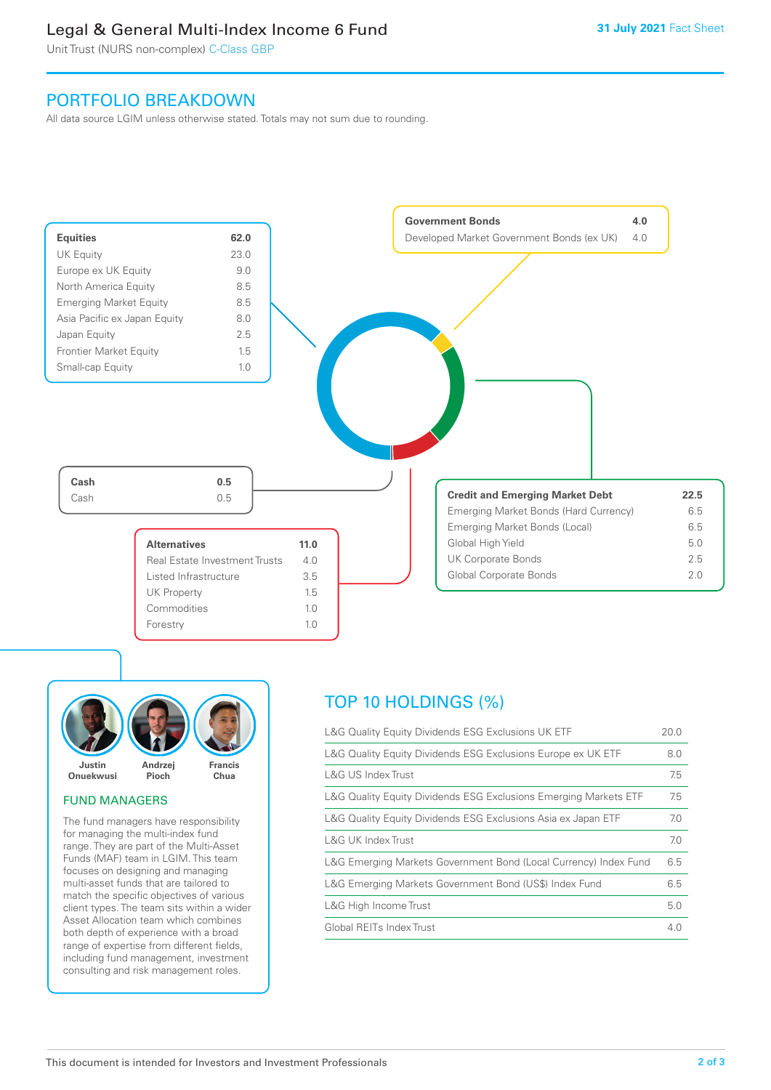### Legal & General Multi-Index Income 6 Fund

Unit Trust (NURS non-complex) C-Class GBP

### PORTFOLIO BREAKDOWN

All data source LGIM unless otherwise stated. Totals may not sum due to rounding.





### FUND MANAGERS

The fund managers have responsibility for managing the multi-index fund range. They are part of the Multi-Asset Funds (MAF) team in LGIM. This team focuses on designing and managing multi-asset funds that are tailored to match the specific objectives of various client types. The team sits within a wider Asset Allocation team which combines both depth of experience with a broad range of expertise from different fields, including fund management, investment consulting and risk management roles.

## TOP 10 HOLDINGS (%)

| L&G Quality Equity Dividends ESG Exclusions UK ETF               | 20.0 |
|------------------------------------------------------------------|------|
| L&G Quality Equity Dividends ESG Exclusions Europe ex UK ETF     | 8.0  |
| L&G US Index Trust                                               | 7.5  |
| L&G Quality Equity Dividends ESG Exclusions Emerging Markets ETF | 7.5  |
| L&G Quality Equity Dividends ESG Exclusions Asia ex Japan ETF    | 7.0  |
| L&G UK Index Trust                                               | 7.0  |
| L&G Emerging Markets Government Bond (Local Currency) Index Fund | 6.5  |
| L&G Emerging Markets Government Bond (US\$) Index Fund           | 6.5  |
| L&G High Income Trust                                            | 5.0  |
| Global REITs Index Trust                                         | 4.0  |